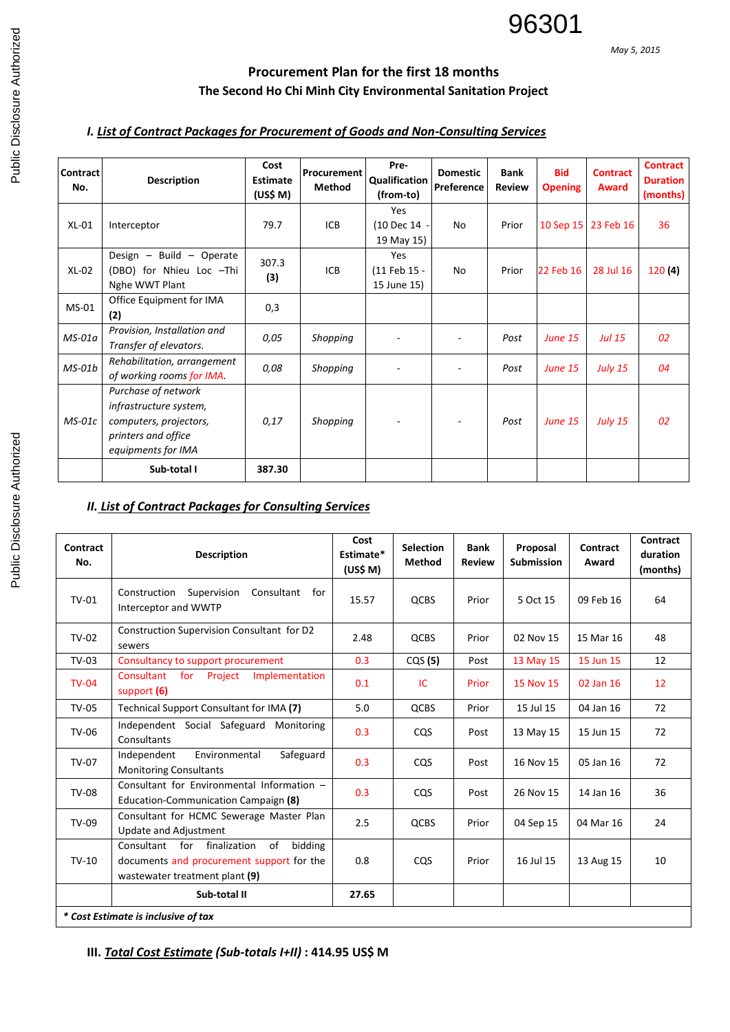*May 5, 2015*

## **Procurement Plan for the first 18 months The Second Ho Chi Minh City Environmental Sanitation Project**

## *I. List of Contract Packages for Procurement of Goods and Non-Consulting Services*

| Contract<br>No. | <b>Description</b>                                                                                                   | Cost<br>Estimate<br>(US\$ M) | Procurement<br><b>Method</b> | Pre-<br>Qualification<br>(from-to) | <b>Domestic</b><br>Preference | <b>Bank</b><br><b>Review</b> | <b>Bid</b><br><b>Opening</b> | <b>Contract</b><br>Award | <b>Contract</b><br><b>Duration</b><br>(months) |
|-----------------|----------------------------------------------------------------------------------------------------------------------|------------------------------|------------------------------|------------------------------------|-------------------------------|------------------------------|------------------------------|--------------------------|------------------------------------------------|
| $XL-01$         | Interceptor                                                                                                          | 79.7                         | <b>ICB</b>                   | Yes<br>(10 Dec 14 -<br>19 May 15)  | No                            | Prior                        |                              | 10 Sep 15 23 Feb 16      | 36                                             |
| $XL-02$         | Design - Build - Operate<br>(DBO) for Nhieu Loc -Thi<br>Nghe WWT Plant                                               | 307.3<br>(3)                 | ICB                          | Yes<br>(11 Feb 15 -<br>15 June 15) | No                            | Prior                        | 22 Feb 16                    | 28 Jul 16                | 120(4)                                         |
| $MS-01$         | Office Equipment for IMA<br>(2)                                                                                      | 0,3                          |                              |                                    |                               |                              |                              |                          |                                                |
| $MS-01a$        | Provision, Installation and<br>Transfer of elevators.                                                                | 0,05                         | Shopping                     |                                    |                               | Post                         | <b>June 15</b>               | <b>Jul 15</b>            | 02                                             |
| $MS-01b$        | Rehabilitation, arrangement<br>of working rooms for IMA.                                                             | 0,08                         | Shopping                     |                                    | ۰                             | Post                         | <b>June 15</b>               | <b>July 15</b>           | 04                                             |
| $MS-01c$        | Purchase of network<br>infrastructure system,<br>computers, projectors,<br>printers and office<br>equipments for IMA | 0,17                         | Shopping                     |                                    |                               | Post                         | <b>June 15</b>               | <b>July 15</b>           | 02                                             |
|                 | Sub-total I                                                                                                          | 387.30                       |                              |                                    |                               |                              |                              |                          |                                                |

## *II. List of Contract Packages for Consulting Services*

| Contract<br>No.                     | <b>Description</b>                                                                                                             | Cost<br>Estimate*<br>(US\$ M) | <b>Selection</b><br><b>Method</b> | <b>Bank</b><br><b>Review</b> | Proposal<br><b>Submission</b> | Contract<br>Award | Contract<br>duration<br>(months) |  |  |  |  |
|-------------------------------------|--------------------------------------------------------------------------------------------------------------------------------|-------------------------------|-----------------------------------|------------------------------|-------------------------------|-------------------|----------------------------------|--|--|--|--|
| $TV-01$                             | Construction<br>Supervision<br>Consultant for<br>Interceptor and WWTP                                                          | 15.57                         | <b>QCBS</b>                       | Prior                        | 5 Oct 15                      | 09 Feb 16         | 64                               |  |  |  |  |
| $TV-02$                             | Construction Supervision Consultant for D2<br>sewers                                                                           | 2.48                          | QCBS                              | Prior                        | 02 Nov 15                     | 15 Mar 16         | 48                               |  |  |  |  |
| $TV-03$                             | Consultancy to support procurement                                                                                             | 0.3                           | CQS(5)                            | Post                         | 13 May 15                     | 15 Jun 15         | 12                               |  |  |  |  |
| $TV-04$                             | Consultant<br>for<br>Project<br>Implementation<br>support (6)                                                                  | 0.1                           | IC                                | Prior                        | 15 Nov 15                     | 02 Jan 16         | 12                               |  |  |  |  |
| <b>TV-05</b>                        | Technical Support Consultant for IMA (7)                                                                                       | 5.0                           | QCBS                              | Prior                        | 15 Jul 15                     | 04 Jan 16         | 72                               |  |  |  |  |
| <b>TV-06</b>                        | Independent Social Safeguard Monitoring<br>Consultants                                                                         | 0.3                           | CQS                               | Post                         | 13 May 15                     | 15 Jun 15         | 72                               |  |  |  |  |
| TV-07                               | Environmental<br>Safeguard<br>Independent<br><b>Monitoring Consultants</b>                                                     | 0.3                           | <b>CQS</b>                        | Post                         | 16 Nov 15                     | 05 Jan 16         | 72                               |  |  |  |  |
| <b>TV-08</b>                        | Consultant for Environmental Information -<br>Education-Communication Campaign (8)                                             | 0.3                           | <b>CQS</b>                        | Post                         | 26 Nov 15                     | 14 Jan 16         | 36                               |  |  |  |  |
| TV-09                               | Consultant for HCMC Sewerage Master Plan<br><b>Update and Adjustment</b>                                                       | 2.5                           | <b>QCBS</b>                       | Prior                        | 04 Sep 15                     | 04 Mar 16         | 24                               |  |  |  |  |
| $TV-10$                             | of<br>Consultant for<br>finalization<br>bidding<br>documents and procurement support for the<br>wastewater treatment plant (9) | 0.8                           | CQS                               | Prior                        | 16 Jul 15                     | 13 Aug 15         | 10                               |  |  |  |  |
|                                     | Sub-total II                                                                                                                   | 27.65                         |                                   |                              |                               |                   |                                  |  |  |  |  |
| * Cost Estimate is inclusive of tax |                                                                                                                                |                               |                                   |                              |                               |                   |                                  |  |  |  |  |

**III.** *Total Cost Estimate (Sub-totals I+II)* **: 414.95 US\$ M**